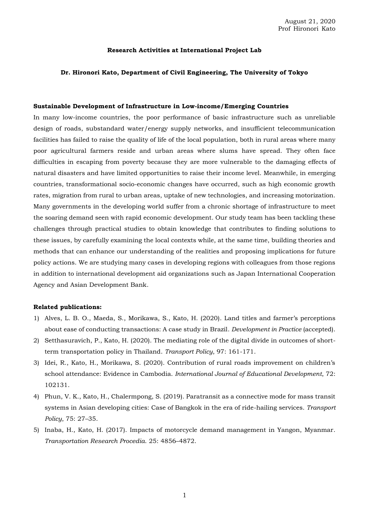## **Research Activities at International Project Lab**

#### **Dr. Hironori Kato, Department of Civil Engineering, The University of Tokyo**

# **Sustainable Development of Infrastructure in Low-income/Emerging Countries**

In many low-income countries, the poor performance of basic infrastructure such as unreliable design of roads, substandard water/energy supply networks, and insufficient telecommunication facilities has failed to raise the quality of life of the local population, both in rural areas where many poor agricultural farmers reside and urban areas where slums have spread. They often face difficulties in escaping from poverty because they are more vulnerable to the damaging effects of natural disasters and have limited opportunities to raise their income level. Meanwhile, in emerging countries, transformational socio-economic changes have occurred, such as high economic growth rates, migration from rural to urban areas, uptake of new technologies, and increasing motorization. Many governments in the developing world suffer from a chronic shortage of infrastructure to meet the soaring demand seen with rapid economic development. Our study team has been tackling these challenges through practical studies to obtain knowledge that contributes to finding solutions to these issues, by carefully examining the local contexts while, at the same time, building theories and methods that can enhance our understanding of the realities and proposing implications for future policy actions. We are studying many cases in developing regions with colleagues from those regions in addition to international development aid organizations such as Japan International Cooperation Agency and Asian Development Bank.

- 1) Alves, L. B. O., Maeda, S., Morikawa, S., Kato, H. (2020). Land titles and farmer's perceptions about ease of conducting transactions: A case study in Brazil. *Development in Practice* (accepted).
- 2) Setthasuravich, P., Kato, H. (2020). The mediating role of the digital divide in outcomes of shortterm transportation policy in Thailand. *Transport Policy*, 97: 161-171.
- 3) Idei, R., Kato, H., Morikawa, S. (2020). Contribution of rural roads improvement on children's school attendance: Evidence in Cambodia. *International Journal of Educational Development*, 72: 102131.
- 4) Phun, V. K., Kato, H., Chalermpong, S. (2019). Paratransit as a connective mode for mass transit systems in Asian developing cities: Case of Bangkok in the era of ride-hailing services. *Transport Policy*, 75: 27–35.
- 5) Inaba, H., Kato, H. (2017). Impacts of motorcycle demand management in Yangon, Myanmar. *Transportation Research Procedia*. 25: 4856–4872.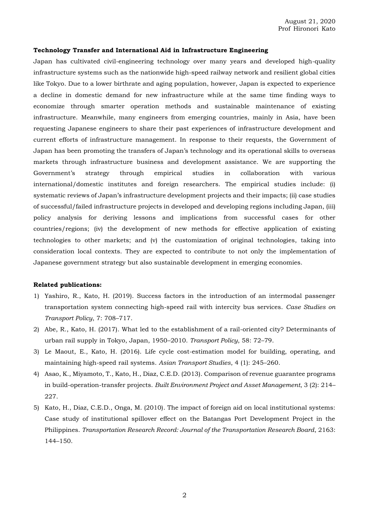# **Technology Transfer and International Aid in Infrastructure Engineering**

Japan has cultivated civil-engineering technology over many years and developed high-quality infrastructure systems such as the nationwide high-speed railway network and resilient global cities like Tokyo. Due to a lower birthrate and aging population, however, Japan is expected to experience a decline in domestic demand for new infrastructure while at the same time finding ways to economize through smarter operation methods and sustainable maintenance of existing infrastructure. Meanwhile, many engineers from emerging countries, mainly in Asia, have been requesting Japanese engineers to share their past experiences of infrastructure development and current efforts of infrastructure management. In response to their requests, the Government of Japan has been promoting the transfers of Japan's technology and its operational skills to overseas markets through infrastructure business and development assistance. We are supporting the Government's strategy through empirical studies in collaboration with various international/domestic institutes and foreign researchers. The empirical studies include: (i) systematic reviews of Japan's infrastructure development projects and their impacts; (ii) case studies of successful/failed infrastructure projects in developed and developing regions including Japan, (iii) policy analysis for deriving lessons and implications from successful cases for other countries/regions; (iv) the development of new methods for effective application of existing technologies to other markets; and (v) the customization of original technologies, taking into consideration local contexts. They are expected to contribute to not only the implementation of Japanese government strategy but also sustainable development in emerging economies.

- 1) Yashiro, R., Kato, H. (2019). Success factors in the introduction of an intermodal passenger transportation system connecting high-speed rail with intercity bus services. *Case Studies on Transport Policy*, 7: 708–717.
- 2) Abe, R., Kato, H. (2017). What led to the establishment of a rail-oriented city? Determinants of urban rail supply in Tokyo, Japan, 1950–2010. *Transport Policy*, 58: 72–79.
- 3) Le Maout, E., Kato, H. (2016). Life cycle cost-estimation model for building, operating, and maintaining high-speed rail systems. *Asian Transport Studies*, 4 (1): 245–260.
- 4) Asao, K., Miyamoto, T., Kato, H., Diaz, C.E.D. (2013). Comparison of revenue guarantee programs in build-operation-transfer projects. *Built Environment Project and Asset Management*, 3 (2): 214– 227.
- 5) Kato, H., Diaz, C.E.D., Onga, M. (2010). The impact of foreign aid on local institutional systems: Case study of institutional spillover effect on the Batangas Port Development Project in the Philippines. *Transportation Research Record: Journal of the Transportation Research Board*, 2163: 144–150.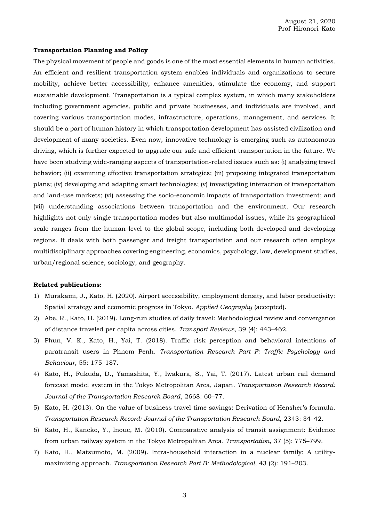## **Transportation Planning and Policy**

The physical movement of people and goods is one of the most essential elements in human activities. An efficient and resilient transportation system enables individuals and organizations to secure mobility, achieve better accessibility, enhance amenities, stimulate the economy, and support sustainable development. Transportation is a typical complex system, in which many stakeholders including government agencies, public and private businesses, and individuals are involved, and covering various transportation modes, infrastructure, operations, management, and services. It should be a part of human history in which transportation development has assisted civilization and development of many societies. Even now, innovative technology is emerging such as autonomous driving, which is further expected to upgrade our safe and efficient transportation in the future. We have been studying wide-ranging aspects of transportation-related issues such as: (i) analyzing travel behavior; (ii) examining effective transportation strategies; (iii) proposing integrated transportation plans; (iv) developing and adapting smart technologies; (v) investigating interaction of transportation and land-use markets; (vi) assessing the socio-economic impacts of transportation investment; and (vii) understanding associations between transportation and the environment. Our research highlights not only single transportation modes but also multimodal issues, while its geographical scale ranges from the human level to the global scope, including both developed and developing regions. It deals with both passenger and freight transportation and our research often employs multidisciplinary approaches covering engineering, economics, psychology, law, development studies, urban/regional science, sociology, and geography.

- 1) Murakami, J., Kato, H. (2020). Airport accessibility, employment density, and labor productivity: Spatial strategy and economic progress in Tokyo. *Applied Geography* (accepted).
- 2) Abe, R., Kato, H. (2019). Long-run studies of daily travel: Methodological review and convergence of distance traveled per capita across cities. *Transport Reviews*, 39 (4): 443–462.
- 3) Phun, V. K., Kato, H., Yai, T. (2018). Traffic risk perception and behavioral intentions of paratransit users in Phnom Penh. *Transportation Research Part F: Traffic Psychology and Behaviour*, 55: 175–187.
- 4) Kato, H., Fukuda, D., Yamashita, Y., Iwakura, S., Yai, T. (2017). Latest urban rail demand forecast model system in the Tokyo Metropolitan Area, Japan. *Transportation Research Record: Journal of the Transportation Research Board*, 2668: 60–77.
- 5) Kato, H. (2013). On the value of business travel time savings: Derivation of Hensher's formula. *Transportation Research Record: Journal of the Transportation Research Board*, 2343: 34–42.
- 6) Kato, H., Kaneko, Y., Inoue, M. (2010). Comparative analysis of transit assignment: Evidence from urban railway system in the Tokyo Metropolitan Area. *Transportation*, 37 (5): 775–799.
- 7) Kato, H., Matsumoto, M. (2009). Intra-household interaction in a nuclear family: A utilitymaximizing approach. *Transportation Research Part B: Methodological*, 43 (2): 191–203.